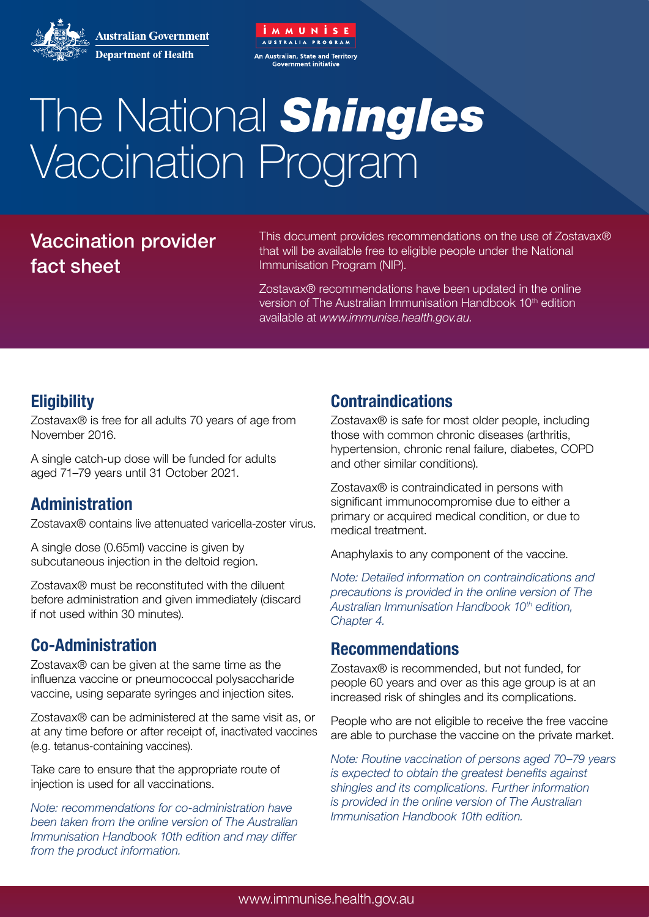

**Australian Government Department of Health** 

# The National *Shingles* Vaccination Program

MMUNISE

An Australian, State and Territory

# Vaccination provider fact sheet

This document provides recommendations on the use of Zostavax® that will be available free to eligible people under the National Immunisation Program (NIP).

Zostavax® recommendations have been updated in the online version of The Australian Immunisation Handbook 10<sup>th</sup> edition available at *www.immunise.health.gov.au.*

# **Eligibility**

Zostavax® is free for all adults 70 years of age from November 2016.

A single catch-up dose will be funded for adults aged 71–79 years until 31 October 2021.

# **Administration**

Zostavax® contains live attenuated varicella-zoster virus.

A single dose (0.65ml) vaccine is given by subcutaneous injection in the deltoid region.

Zostavax® must be reconstituted with the diluent before administration and given immediately (discard if not used within 30 minutes).

# **Co-Administration**

Zostavax® can be given at the same time as the influenza vaccine or pneumococcal polysaccharide vaccine, using separate syringes and injection sites.

Zostavax® can be administered at the same visit as, or at any time before or after receipt of, inactivated vaccines (e.g. tetanus-containing vaccines).

Take care to ensure that the appropriate route of injection is used for all vaccinations.

*Note: recommendations for co-administration have been taken from the online version of The Australian Immunisation Handbook 10th edition and may differ from the product information.*

# **Contraindications**

Zostavax® is safe for most older people, including those with common chronic diseases (arthritis, hypertension, chronic renal failure, diabetes, COPD and other similar conditions).

Zostavax® is contraindicated in persons with significant immunocompromise due to either a primary or acquired medical condition, or due to medical treatment.

Anaphylaxis to any component of the vaccine.

*Note: Detailed information on contraindications and precautions is provided in the online version of The Australian Immunisation Handbook 10th edition, Chapter 4.*

#### **Recommendations**

Zostavax® is recommended, but not funded, for people 60 years and over as this age group is at an increased risk of shingles and its complications.

People who are not eligible to receive the free vaccine are able to purchase the vaccine on the private market.

*Note: Routine vaccination of persons aged 70–79 years is expected to obtain the greatest benefits against shingles and its complications. Further information is provided in the online version of The Australian Immunisation Handbook 10th edition.*